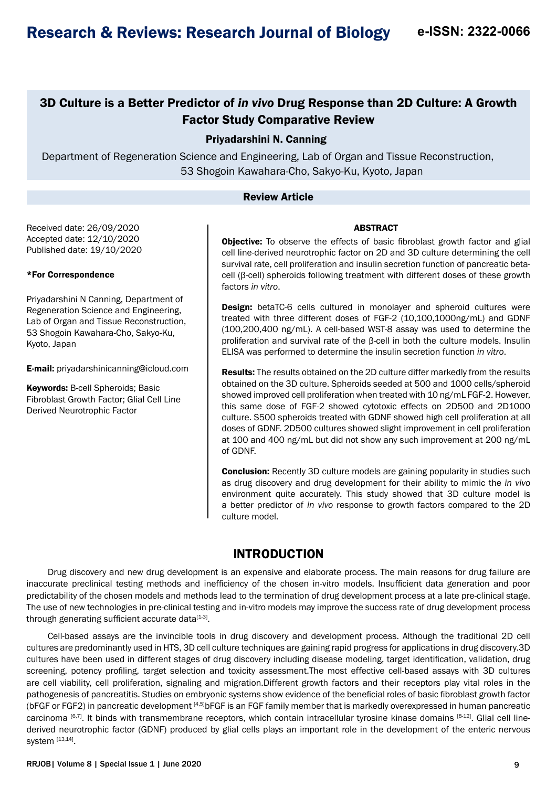# 3D Culture is a Better Predictor of *in vivo* Drug Response than 2D Culture: A Growth Factor Study Comparative Review

## Priyadarshini N. Canning

Department of Regeneration Science and Engineering, Lab of Organ and Tissue Reconstruction, 53 Shogoin Kawahara-Cho, Sakyo-Ku, Kyoto, Japan

## Review Article

Received date: 26/09/2020 Accepted date: 12/10/2020 Published date: 19/10/2020

### \*For Correspondence

Priyadarshini N Canning, Department of Regeneration Science and Engineering, Lab of Organ and Tissue Reconstruction, 53 Shogoin Kawahara-Cho, Sakyo-Ku, Kyoto, Japan

E-mail: priyadarshinicanning@icloud.com

Keywords: Β-cell Spheroids; Basic Fibroblast Growth Factor; Glial Cell Line Derived Neurotrophic Factor

#### ABSTRACT

**Objective:** To observe the effects of basic fibroblast growth factor and glial cell line-derived neurotrophic factor on 2D and 3D culture determining the cell survival rate, cell proliferation and insulin secretion function of pancreatic betacell (β-cell) spheroids following treatment with different doses of these growth factors *in vitro*.

**Design:** betaTC-6 cells cultured in monolayer and spheroid cultures were treated with three different doses of FGF-2 (10,100,1000ng/mL) and GDNF (100,200,400 ng/mL). A cell-based WST-8 assay was used to determine the proliferation and survival rate of the β-cell in both the culture models. Insulin ELISA was performed to determine the insulin secretion function *in vitro*.

**Results:** The results obtained on the 2D culture differ markedly from the results obtained on the 3D culture. Spheroids seeded at 500 and 1000 cells/spheroid showed improved cell proliferation when treated with 10 ng/mL FGF-2. However, this same dose of FGF-2 showed cytotoxic effects on 2D500 and 2D1000 culture. S500 spheroids treated with GDNF showed high cell proliferation at all doses of GDNF. 2D500 cultures showed slight improvement in cell proliferation at 100 and 400 ng/mL but did not show any such improvement at 200 ng/mL of GDNF.

**Conclusion:** Recently 3D culture models are gaining popularity in studies such as drug discovery and drug development for their ability to mimic the *in vivo* environment quite accurately. This study showed that 3D culture model is a better predictor of *in vivo* response to growth factors compared to the 2D culture model.

# **INTRODUCTION**

Drug discovery and new drug development is an expensive and elaborate process. The main reasons for drug failure are inaccurate preclinical testing methods and inefficiency of the chosen in-vitro models. Insufficient data generation and poor predictability of the chosen models and methods lead to the termination of drug development process at a late pre-clinical stage. The use of new technologies in pre-clinical testing and in-vitro models may improve the success rate of drug development process through generating sufficient accurate data $[1-3]$ .

Cell-based assays are the invincible tools in drug discovery and development process. Although the traditional 2D cell cultures are predominantly used in HTS, 3D cell culture techniques are gaining rapid progress for applications in drug discovery.3D cultures have been used in different stages of drug discovery including disease modeling, target identification, validation, drug screening, potency profiling, target selection and toxicity assessment.The most effective cell-based assays with 3D cultures are cell viability, cell proliferation, signaling and migration.Different growth factors and their receptors play vital roles in the pathogenesis of pancreatitis. Studies on embryonic systems show evidence of the beneficial roles of basic fibroblast growth factor (bFGF or FGF2) in pancreatic development [4,5]bFGF is an FGF family member that is markedly overexpressed in human pancreatic carcinoma [6,7]. It binds with transmembrane receptors, which contain intracellular tyrosine kinase domains [8-12]. Glial cell linederived neurotrophic factor (GDNF) produced by glial cells plays an important role in the development of the enteric nervous system [13,14].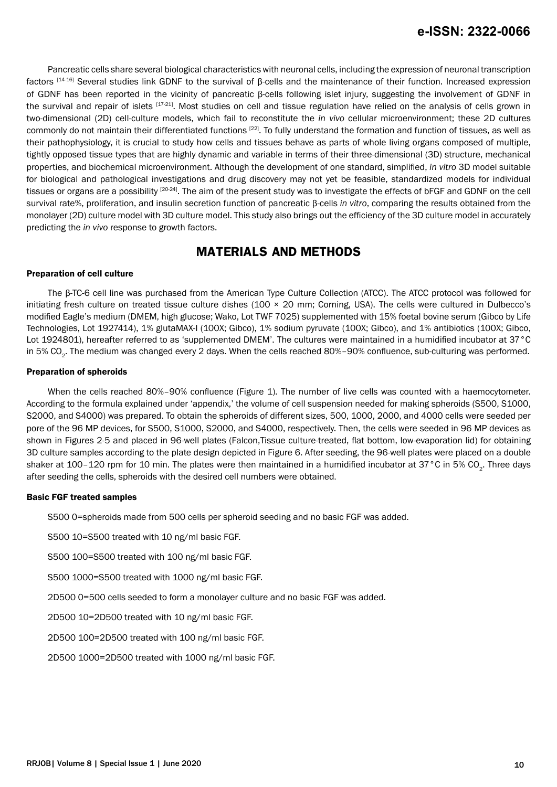Pancreatic cells share several biological characteristics with neuronal cells, including the expression of neuronal transcription factors [14-16] Several studies link GDNF to the survival of β-cells and the maintenance of their function. Increased expression of GDNF has been reported in the vicinity of pancreatic β-cells following islet injury, suggesting the involvement of GDNF in the survival and repair of islets [17-21]. Most studies on cell and tissue regulation have relied on the analysis of cells grown in two-dimensional (2D) cell-culture models, which fail to reconstitute the *in vivo* cellular microenvironment; these 2D cultures commonly do not maintain their differentiated functions <a>[22]</a>. To fully understand the formation and function of tissues, as well as their pathophysiology, it is crucial to study how cells and tissues behave as parts of whole living organs composed of multiple, tightly opposed tissue types that are highly dynamic and variable in terms of their three-dimensional (3D) structure, mechanical properties, and biochemical microenvironment. Although the development of one standard, simplified, *in vitro* 3D model suitable for biological and pathological investigations and drug discovery may not yet be feasible, standardized models for individual tissues or organs are a possibility <sup>[20-24]</sup>. The aim of the present study was to investigate the effects of bFGF and GDNF on the cell survival rate%, proliferation, and insulin secretion function of pancreatic β-cells *in vitro*, comparing the results obtained from the monolayer (2D) culture model with 3D culture model. This study also brings out the efficiency of the 3D culture model in accurately predicting the *in vivo* response to growth factors.

# **MATERIALS AND METHODS**

### Preparation of cell culture

The β-TC-6 cell line was purchased from the American Type Culture Collection (ATCC). The ATCC protocol was followed for initiating fresh culture on treated tissue culture dishes  $(100 \times 20 \text{ mm})$ ; Corning, USA). The cells were cultured in Dulbecco's modified Eagle's medium (DMEM, high glucose; Wako, Lot TWF 7025) supplemented with 15% foetal bovine serum (Gibco by Life Technologies, Lot 1927414), 1% glutaMAX-I (100X; Gibco), 1% sodium pyruvate (100X; Gibco), and 1% antibiotics (100X; Gibco, Lot 1924801), hereafter referred to as 'supplemented DMEM'. The cultures were maintained in a humidified incubator at 37°C in 5% CO<sub>2</sub>. The medium was changed every 2 days. When the cells reached 80%-90% confluence, sub-culturing was performed.

### Preparation of spheroids

When the cells reached 80%–90% confluence (Figure 1). The number of live cells was counted with a haemocytometer. According to the formula explained under 'appendix,' the volume of cell suspension needed for making spheroids (S500, S1000, S2000, and S4000) was prepared. To obtain the spheroids of different sizes, 500, 1000, 2000, and 4000 cells were seeded per pore of the 96 MP devices, for S500, S1000, S2000, and S4000, respectively. Then, the cells were seeded in 96 MP devices as shown in Figures 2-5 and placed in 96-well plates (Falcon,Tissue culture-treated, flat bottom, low-evaporation lid) for obtaining 3D culture samples according to the plate design depicted in Figure 6. After seeding, the 96-well plates were placed on a double shaker at 100-120 rpm for 10 min. The plates were then maintained in a humidified incubator at 37°C in 5% CO<sub>2</sub>. Three days after seeding the cells, spheroids with the desired cell numbers were obtained.

## Basic FGF treated samples

S500 0=spheroids made from 500 cells per spheroid seeding and no basic FGF was added.

S500 10=S500 treated with 10 ng/ml basic FGF.

S500 100=S500 treated with 100 ng/ml basic FGF.

S500 1000=S500 treated with 1000 ng/ml basic FGF.

2D500 0=500 cells seeded to form a monolayer culture and no basic FGF was added.

2D500 10=2D500 treated with 10 ng/ml basic FGF.

2D500 100=2D500 treated with 100 ng/ml basic FGF.

2D500 1000=2D500 treated with 1000 ng/ml basic FGF.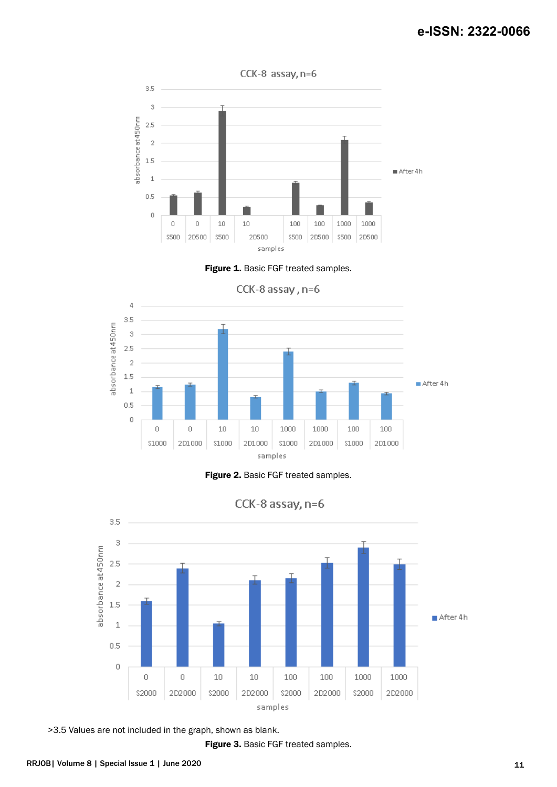









>3.5 Values are not included in the graph, shown as blank.

Figure 3. Basic FGF treated samples.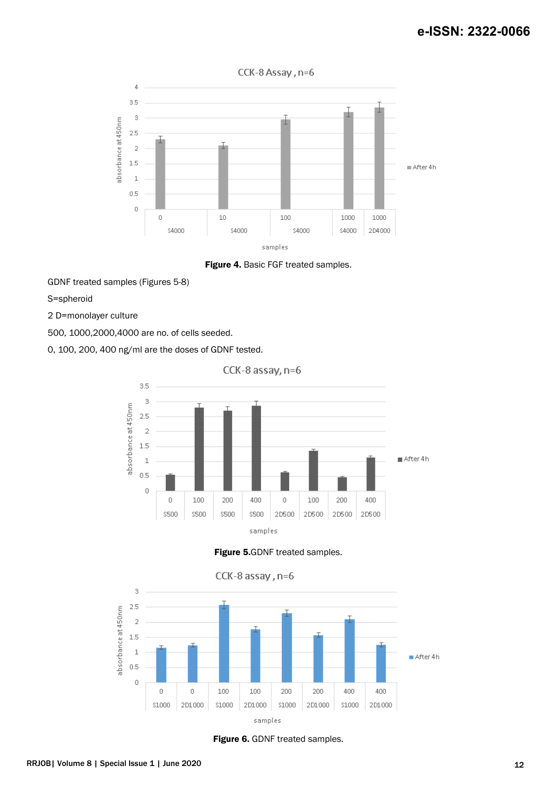

Figure 4. Basic FGF treated samples.

GDNF treated samples (Figures 5-8)

S=spheroid

2 D=monolayer culture

500, 1000,2000,4000 are no. of cells seeded.

0, 100, 200, 400 ng/ml are the doses of GDNF tested.



Figure 5.GDNF treated samples.



Figure 6. GDNF treated samples.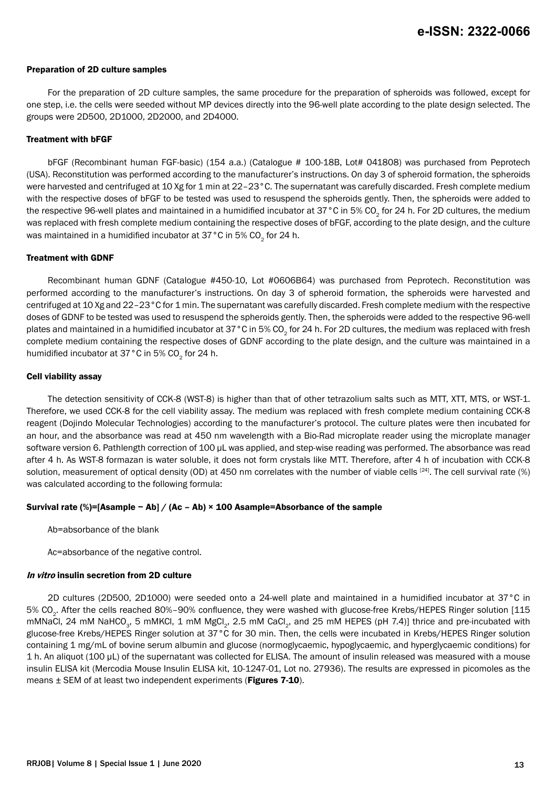#### Preparation of 2D culture samples

For the preparation of 2D culture samples, the same procedure for the preparation of spheroids was followed, except for one step, i.e. the cells were seeded without MP devices directly into the 96-well plate according to the plate design selected. The groups were 2D500, 2D1000, 2D2000, and 2D4000.

#### Treatment with bFGF

bFGF (Recombinant human FGF-basic) (154 a.a.) (Catalogue # 100-18B, Lot# 041808) was purchased from Peprotech (USA). Reconstitution was performed according to the manufacturer's instructions. On day 3 of spheroid formation, the spheroids were harvested and centrifuged at 10 Xg for 1 min at 22-23 °C. The supernatant was carefully discarded. Fresh complete medium with the respective doses of bFGF to be tested was used to resuspend the spheroids gently. Then, the spheroids were added to the respective 96-well plates and maintained in a humidified incubator at 37 °C in 5% CO<sub>2</sub> for 24 h. For 2D cultures, the medium was replaced with fresh complete medium containing the respective doses of bFGF, according to the plate design, and the culture was maintained in a humidified incubator at  $37^{\circ}$ C in 5% CO<sub>2</sub> for 24 h.

#### Treatment with GDNF

Recombinant human GDNF (Catalogue #450-10, Lot #0606B64) was purchased from Peprotech. Reconstitution was performed according to the manufacturer's instructions. On day 3 of spheroid formation, the spheroids were harvested and centrifuged at 10 Xg and 22–23°C for 1 min. The supernatant was carefully discarded. Fresh complete medium with the respective doses of GDNF to be tested was used to resuspend the spheroids gently. Then, the spheroids were added to the respective 96-well plates and maintained in a humidified incubator at 37°C in 5% CO<sub>2</sub> for 24 h. For 2D cultures, the medium was replaced with fresh complete medium containing the respective doses of GDNF according to the plate design, and the culture was maintained in a humidified incubator at  $37^{\circ}$ C in 5% CO<sub>2</sub> for 24 h.

#### Cell viability assay

The detection sensitivity of CCK-8 (WST-8) is higher than that of other tetrazolium salts such as MTT, XTT, MTS, or WST-1. Therefore, we used CCK-8 for the cell viability assay. The medium was replaced with fresh complete medium containing CCK-8 reagent (Dojindo Molecular Technologies) according to the manufacturer's protocol. The culture plates were then incubated for an hour, and the absorbance was read at 450 nm wavelength with a Bio-Rad microplate reader using the microplate manager software version 6. Pathlength correction of 100 μL was applied, and step-wise reading was performed. The absorbance was read after 4 h. As WST-8 formazan is water soluble, it does not form crystals like MTT. Therefore, after 4 h of incubation with CCK-8 solution, measurement of optical density (OD) at 450 nm correlates with the number of viable cells  $[24]$ . The cell survival rate (%) was calculated according to the following formula:

### Survival rate (%)=[Asample − Ab] / (Ac – Ab) × 100 Asample=Absorbance of the sample

Ab=absorbance of the blank

Ac=absorbance of the negative control.

### In vitro insulin secretion from 2D culture

2D cultures (2D500, 2D1000) were seeded onto a 24-well plate and maintained in a humidified incubator at 37°C in 5% CO2. After the cells reached 80%–90% confluence, they were washed with glucose-free Krebs/HEPES Ringer solution [115 mMNaCl, 24 mM NaHCO<sub>3</sub>, 5 mMKCl, 1 mM MgCl<sub>2</sub>, 2.5 mM CaCl<sub>2</sub>, and 25 mM HEPES (pH 7.4)] thrice and pre-incubated with glucose-free Krebs/HEPES Ringer solution at 37°C for 30 min. Then, the cells were incubated in Krebs/HEPES Ringer solution containing 1 mg/mL of bovine serum albumin and glucose (normoglycaemic, hypoglycaemic, and hyperglycaemic conditions) for 1 h. An aliquot (100 μL) of the supernatant was collected for ELISA. The amount of insulin released was measured with a mouse insulin ELISA kit (Mercodia Mouse Insulin ELISA kit, 10-1247-01, Lot no. 27936). The results are expressed in picomoles as the means  $\pm$  SEM of at least two independent experiments (Figures 7-10).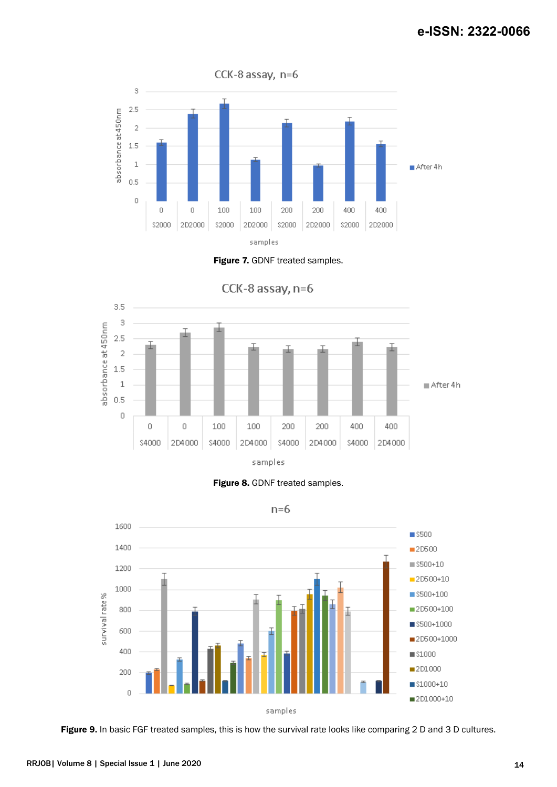









Figure 9. In basic FGF treated samples, this is how the survival rate looks like comparing 2 D and 3 D cultures.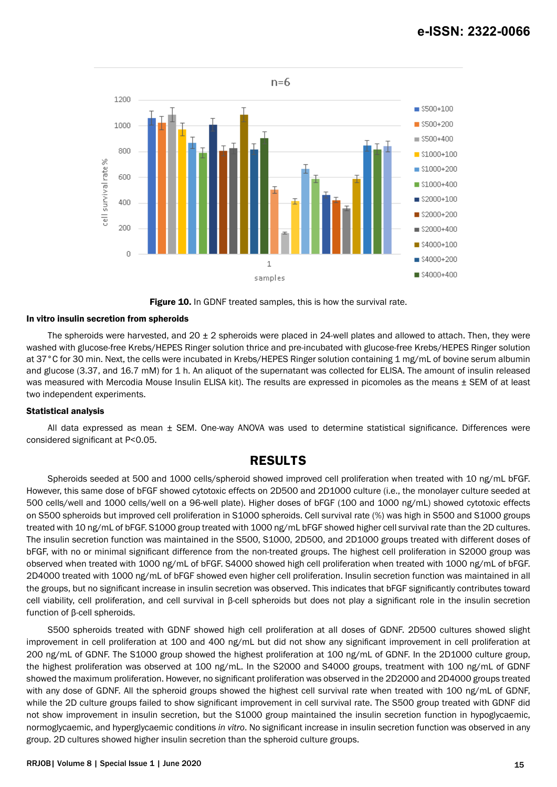



#### In vitro insulin secretion from spheroids

The spheroids were harvested, and 20  $\pm$  2 spheroids were placed in 24-well plates and allowed to attach. Then, they were washed with glucose-free Krebs/HEPES Ringer solution thrice and pre-incubated with glucose-free Krebs/HEPES Ringer solution at 37°C for 30 min. Next, the cells were incubated in Krebs/HEPES Ringer solution containing 1 mg/mL of bovine serum albumin and glucose (3.37, and 16.7 mM) for 1 h. An aliquot of the supernatant was collected for ELISA. The amount of insulin released was measured with Mercodia Mouse Insulin ELISA kit). The results are expressed in picomoles as the means ± SEM of at least two independent experiments.

#### Statistical analysis

All data expressed as mean ± SEM. One-way ANOVA was used to determine statistical significance. Differences were considered significant at P<0.05.

## **RESULTS**

Spheroids seeded at 500 and 1000 cells/spheroid showed improved cell proliferation when treated with 10 ng/mL bFGF. However, this same dose of bFGF showed cytotoxic effects on 2D500 and 2D1000 culture (i.e., the monolayer culture seeded at 500 cells/well and 1000 cells/well on a 96-well plate). Higher doses of bFGF (100 and 1000 ng/mL) showed cytotoxic effects on S500 spheroids but improved cell proliferation in S1000 spheroids. Cell survival rate (%) was high in S500 and S1000 groups treated with 10 ng/mL of bFGF. S1000 group treated with 1000 ng/mL bFGF showed higher cell survival rate than the 2D cultures. The insulin secretion function was maintained in the S500, S1000, 2D500, and 2D1000 groups treated with different doses of bFGF, with no or minimal significant difference from the non-treated groups. The highest cell proliferation in S2000 group was observed when treated with 1000 ng/mL of bFGF. S4000 showed high cell proliferation when treated with 1000 ng/mL of bFGF. 2D4000 treated with 1000 ng/mL of bFGF showed even higher cell proliferation. Insulin secretion function was maintained in all the groups, but no significant increase in insulin secretion was observed. This indicates that bFGF significantly contributes toward cell viability, cell proliferation, and cell survival in β-cell spheroids but does not play a significant role in the insulin secretion function of β-cell spheroids.

S500 spheroids treated with GDNF showed high cell proliferation at all doses of GDNF. 2D500 cultures showed slight improvement in cell proliferation at 100 and 400 ng/mL but did not show any significant improvement in cell proliferation at 200 ng/mL of GDNF. The S1000 group showed the highest proliferation at 100 ng/mL of GDNF. In the 2D1000 culture group, the highest proliferation was observed at 100 ng/mL. In the S2000 and S4000 groups, treatment with 100 ng/mL of GDNF showed the maximum proliferation. However, no significant proliferation was observed in the 2D2000 and 2D4000 groups treated with any dose of GDNF. All the spheroid groups showed the highest cell survival rate when treated with 100 ng/mL of GDNF, while the 2D culture groups failed to show significant improvement in cell survival rate. The S500 group treated with GDNF did not show improvement in insulin secretion, but the S1000 group maintained the insulin secretion function in hypoglycaemic, normoglycaemic, and hyperglycaemic conditions *in vitro*. No significant increase in insulin secretion function was observed in any group. 2D cultures showed higher insulin secretion than the spheroid culture groups.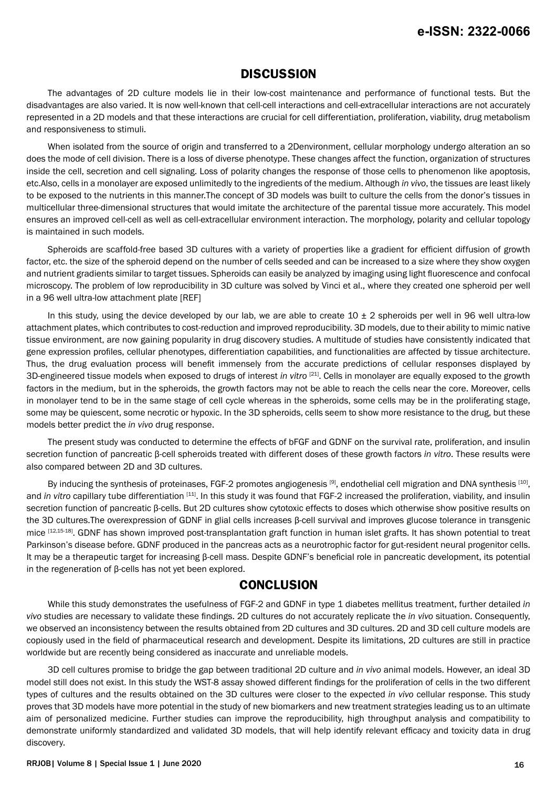## **DISCUSSION**

The advantages of 2D culture models lie in their low-cost maintenance and performance of functional tests. But the disadvantages are also varied. It is now well-known that cell-cell interactions and cell-extracellular interactions are not accurately represented in a 2D models and that these interactions are crucial for cell differentiation, proliferation, viability, drug metabolism and responsiveness to stimuli.

When isolated from the source of origin and transferred to a 2Denvironment, cellular morphology undergo alteration an so does the mode of cell division. There is a loss of diverse phenotype. These changes affect the function, organization of structures inside the cell, secretion and cell signaling. Loss of polarity changes the response of those cells to phenomenon like apoptosis, etc.Also, cells in a monolayer are exposed unlimitedly to the ingredients of the medium. Although *in vivo*, the tissues are least likely to be exposed to the nutrients in this manner.The concept of 3D models was built to culture the cells from the donor's tissues in multicellular three-dimensional structures that would imitate the architecture of the parental tissue more accurately. This model ensures an improved cell-cell as well as cell-extracellular environment interaction. The morphology, polarity and cellular topology is maintained in such models.

Spheroids are scaffold-free based 3D cultures with a variety of properties like a gradient for efficient diffusion of growth factor, etc. the size of the spheroid depend on the number of cells seeded and can be increased to a size where they show oxygen and nutrient gradients similar to target tissues. Spheroids can easily be analyzed by imaging using light fluorescence and confocal microscopy. The problem of low reproducibility in 3D culture was solved by Vinci et al., where they created one spheroid per well in a 96 well ultra-low attachment plate [REF]

In this study, using the device developed by our lab, we are able to create  $10 \pm 2$  spheroids per well in 96 well ultra-low attachment plates, which contributes to cost-reduction and improved reproducibility. 3D models, due to their ability to mimic native tissue environment, are now gaining popularity in drug discovery studies. A multitude of studies have consistently indicated that gene expression profiles, cellular phenotypes, differentiation capabilities, and functionalities are affected by tissue architecture. Thus, the drug evaluation process will benefit immensely from the accurate predictions of cellular responses displayed by 3D-engineered tissue models when exposed to drugs of interest *in vitro* [21]. Cells in monolayer are equally exposed to the growth factors in the medium, but in the spheroids, the growth factors may not be able to reach the cells near the core. Moreover, cells in monolayer tend to be in the same stage of cell cycle whereas in the spheroids, some cells may be in the proliferating stage, some may be quiescent, some necrotic or hypoxic. In the 3D spheroids, cells seem to show more resistance to the drug, but these models better predict the *in vivo* drug response.

The present study was conducted to determine the effects of bFGF and GDNF on the survival rate, proliferation, and insulin secretion function of pancreatic β-cell spheroids treated with different doses of these growth factors *in vitro*. These results were also compared between 2D and 3D cultures.

By inducing the synthesis of proteinases, FGF-2 promotes angiogenesis [9], endothelial cell migration and DNA synthesis [10], and *in vitro* capillary tube differentiation [11]. In this study it was found that FGF-2 increased the proliferation, viability, and insulin secretion function of pancreatic β-cells. But 2D cultures show cytotoxic effects to doses which otherwise show positive results on the 3D cultures.The overexpression of GDNF in glial cells increases β-cell survival and improves glucose tolerance in transgenic mice <sup>[12,15-18]</sup>. GDNF has shown improved post-transplantation graft function in human islet grafts. It has shown potential to treat Parkinson's disease before. GDNF produced in the pancreas acts as a neurotrophic factor for gut-resident neural progenitor cells. It may be a therapeutic target for increasing β-cell mass. Despite GDNF's beneficial role in pancreatic development, its potential in the regeneration of β-cells has not yet been explored.

## **CONCLUSION**

While this study demonstrates the usefulness of FGF-2 and GDNF in type 1 diabetes mellitus treatment, further detailed *in vivo* studies are necessary to validate these findings. 2D cultures do not accurately replicate the *in vivo* situation. Consequently, we observed an inconsistency between the results obtained from 2D cultures and 3D cultures. 2D and 3D cell culture models are copiously used in the field of pharmaceutical research and development. Despite its limitations, 2D cultures are still in practice worldwide but are recently being considered as inaccurate and unreliable models.

3D cell cultures promise to bridge the gap between traditional 2D culture and *in vivo* animal models. However, an ideal 3D model still does not exist. In this study the WST-8 assay showed different findings for the proliferation of cells in the two different types of cultures and the results obtained on the 3D cultures were closer to the expected *in vivo* cellular response. This study proves that 3D models have more potential in the study of new biomarkers and new treatment strategies leading us to an ultimate aim of personalized medicine. Further studies can improve the reproducibility, high throughput analysis and compatibility to demonstrate uniformly standardized and validated 3D models, that will help identify relevant efficacy and toxicity data in drug discovery.